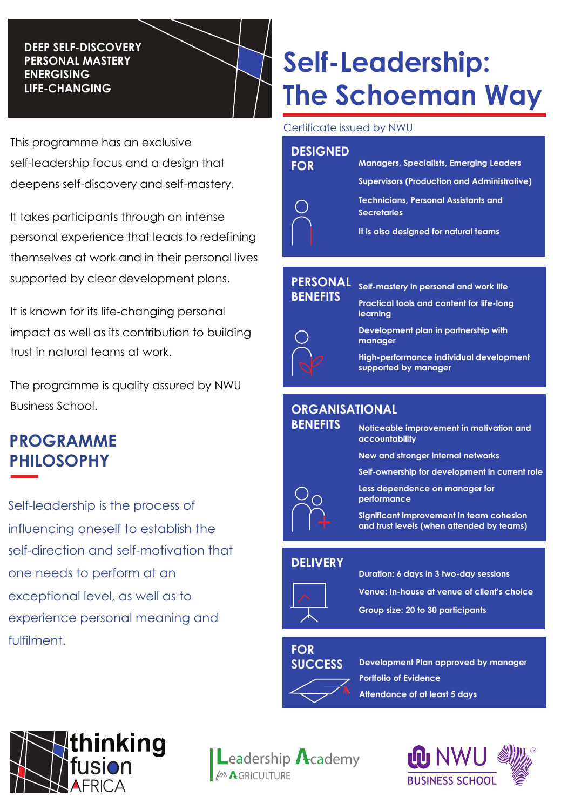### DEEP SELF-DISCOVERY **PERSONAL MASTERY**  $ENERGISING$ **LIFE-CHANGING**

This programme has an exclusive self-leadership focus and a design that deepens self-discovery and self-mastery.

It takes participants through an intense personal experience that leads to redefining themselves at work and in their personal lives supported by clear development plans.

It is known for its life-changing personal impact as well as its contribution to building trust in natural teams at work.

The programme is quality assured by NWU Business School.

### **PROGRAMME PHILOSOPHY**

Self-leadership is the process of influencing oneself to establish the self-direction and self-motivation that one needs to perform at an exceptional level, as well as to experience personal meaning and fulfilment. **SUCCESS**<br> **SUCCESS AND MASTERY**<br> **SUCCES SUCCESSING**<br> **SUCCESSING**<br> **SUCCES SUCCESSING**<br> **SUCCES SUCCESS AND ANOTE SUCCESS AND ANOTHER SUCCESS SUCCESS AND ARREST SUCCESS SUCCESS AND AND CONSIDER SUCCESS SUCCESS SUCCESS SU** 

### **Self-Leadership: The Schoeman Way Self-The Schoor**

**Certificate issued by NWU** 

| <b>DESIGNED</b><br><b>FOR</b> | <b>Managers, Specialists, Emerging Leaders</b>                    |
|-------------------------------|-------------------------------------------------------------------|
|                               | <b>Supervisors (Production and Administrative)</b>                |
|                               | <b>Technicians, Personal Assistants and</b><br><b>Secretaries</b> |
|                               | It is also designed for natural teams                             |

#### **PERSONAL BENEFITS PERSONAL**

**Self-mastery in personal and work life**



**Practical tools and content for life-long learning**

**Development plan in partnership with manager**

**High-performance individual development supported by manager**

## **ORGANISATIONAL ORGANISATIONAL**

**BENEFITS BENEFITS Noticeable improvement in motivation and accountability New and stronger internal networks Self-ownership for development in current role Less dependence on manager for performance Significant improvement in team cohesion and trust levels (when attended by teams)**

### **DELIVERY DELIVERY**



**Duration: 6 days in 3 two-day sessions Venue: In-house at venue of client's choice**

**Group size: 20 to 30 participants**

#### **FOR FOR SUCCESS**



**Development Plan approved by manager Portfolio of Evidence Attendance of at least 5 days**